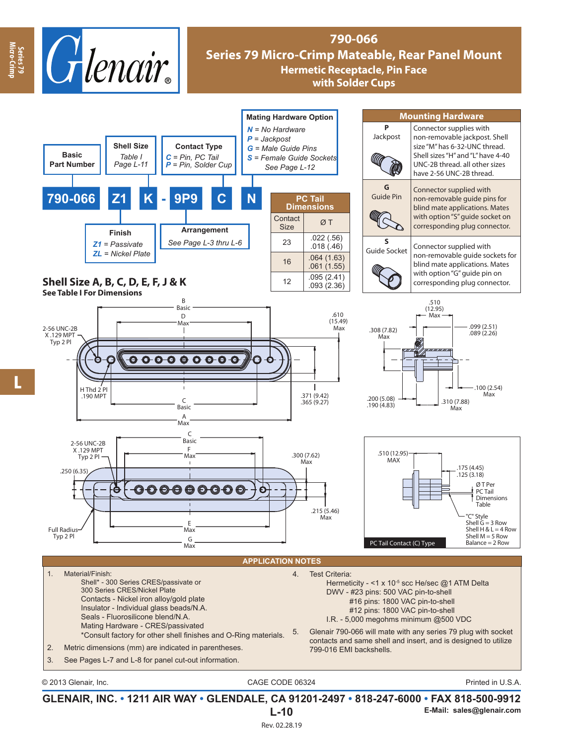

# **790-066 Series 79 Micro-Crimp Mateable, Rear Panel Mount Hermetic Receptacle, Pin Face with Solder Cups**



**GLENAIR, INC. • 1211 AIR WAY • GLENDALE, CA 91201-2497 • 818-247-6000 • FAX 818-500-9912 L-10 E-Mail: sales@glenair.com**

**Series 79 Micro-Crimp**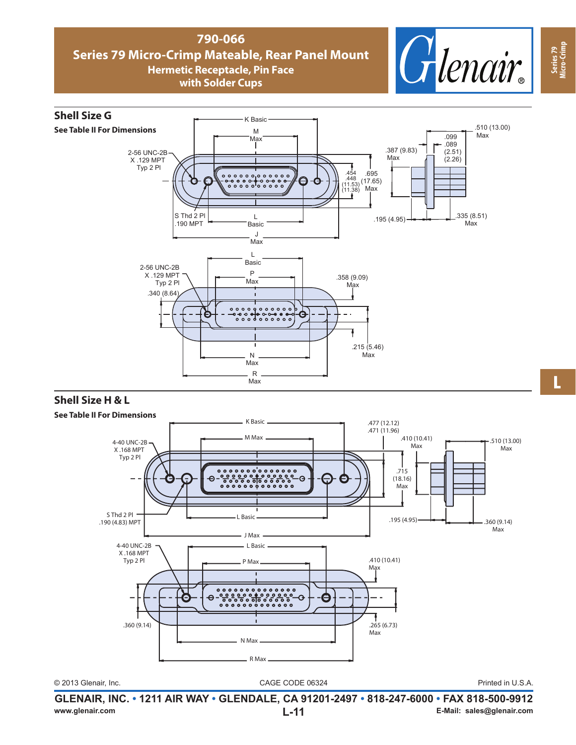### **790-066 Series 79 Micro-Crimp Mateable, Rear Panel Mount Hermetic Receptacle, Pin Face with Solder Cups**





### **Shell Size H & L**



**GLENAIR, INC. • 1211 AIR WAY • GLENDALE, CA 91201-2497 • 818-247-6000 • FAX 818-500-9912 www.glenair.com L-11 E-Mail: sales@glenair.com**